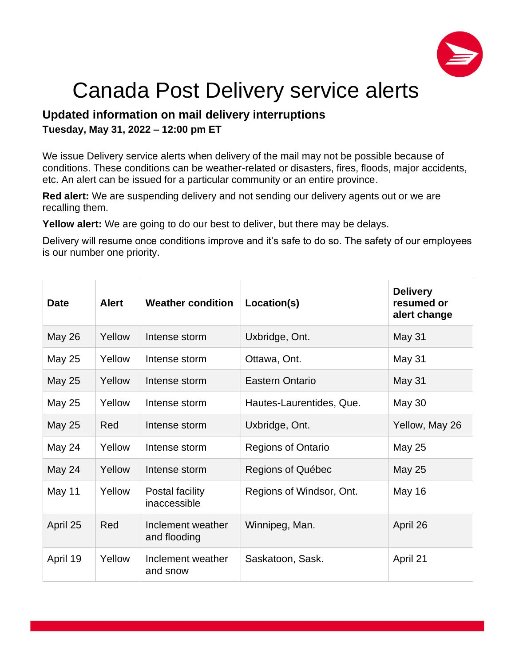

## Canada Post Delivery service alerts

## **Updated information on mail delivery interruptions Tuesday, May 31, 2022 – 12:00 pm ET**

We issue Delivery service alerts when delivery of the mail may not be possible because of conditions. These conditions can be weather-related or disasters, fires, floods, major accidents, etc. An alert can be issued for a particular community or an entire province.

**Red alert:** We are suspending delivery and not sending our delivery agents out or we are recalling them.

**Yellow alert:** We are going to do our best to deliver, but there may be delays.

Delivery will resume once conditions improve and it's safe to do so. The safety of our employees is our number one priority.

| <b>Date</b>   | <b>Alert</b> | <b>Weather condition</b>          | Location(s)               | <b>Delivery</b><br>resumed or<br>alert change |
|---------------|--------------|-----------------------------------|---------------------------|-----------------------------------------------|
| <b>May 26</b> | Yellow       | Intense storm                     | Uxbridge, Ont.            | <b>May 31</b>                                 |
| May 25        | Yellow       | Intense storm                     | Ottawa, Ont.              | May 31                                        |
| May 25        | Yellow       | Intense storm                     | Eastern Ontario           | May 31                                        |
| <b>May 25</b> | Yellow       | Intense storm                     | Hautes-Laurentides, Que.  | <b>May 30</b>                                 |
| <b>May 25</b> | Red          | Intense storm                     | Uxbridge, Ont.            | Yellow, May 26                                |
| May 24        | Yellow       | Intense storm                     | <b>Regions of Ontario</b> | May 25                                        |
| May 24        | Yellow       | Intense storm                     | Regions of Québec         | May 25                                        |
| May 11        | Yellow       | Postal facility<br>inaccessible   | Regions of Windsor, Ont.  | May 16                                        |
| April 25      | Red          | Inclement weather<br>and flooding | Winnipeg, Man.            | April 26                                      |
| April 19      | Yellow       | Inclement weather<br>and snow     | Saskatoon, Sask.          | April 21                                      |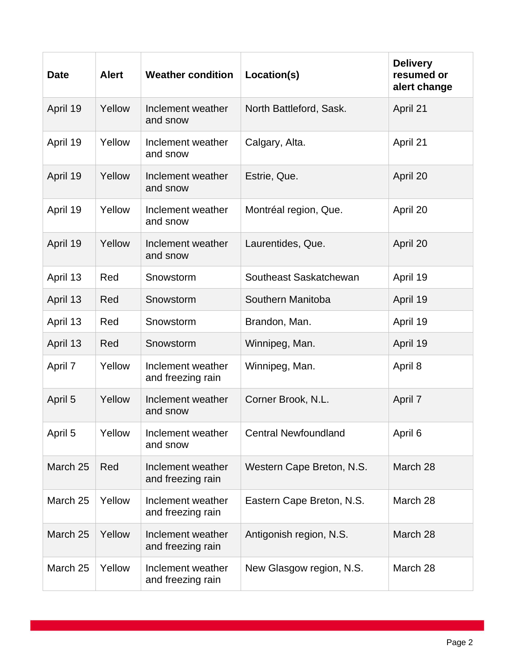| <b>Date</b> | <b>Alert</b> | <b>Weather condition</b>               | Location(s)                 | <b>Delivery</b><br>resumed or<br>alert change |
|-------------|--------------|----------------------------------------|-----------------------------|-----------------------------------------------|
| April 19    | Yellow       | Inclement weather<br>and snow          | North Battleford, Sask.     | April 21                                      |
| April 19    | Yellow       | Inclement weather<br>and snow          | Calgary, Alta.              | April 21                                      |
| April 19    | Yellow       | Inclement weather<br>and snow          | Estrie, Que.                | April 20                                      |
| April 19    | Yellow       | Inclement weather<br>and snow          | Montréal region, Que.       | April 20                                      |
| April 19    | Yellow       | Inclement weather<br>and snow          | Laurentides, Que.           | April 20                                      |
| April 13    | Red          | Snowstorm                              | Southeast Saskatchewan      | April 19                                      |
| April 13    | Red          | Snowstorm                              | Southern Manitoba           | April 19                                      |
| April 13    | Red          | Snowstorm                              | Brandon, Man.               | April 19                                      |
| April 13    | Red          | Snowstorm                              | Winnipeg, Man.              | April 19                                      |
| April 7     | Yellow       | Inclement weather<br>and freezing rain | Winnipeg, Man.              | April 8                                       |
| April 5     | Yellow       | Inclement weather<br>and snow          | Corner Brook, N.L.          | April 7                                       |
| April 5     | Yellow       | Inclement weather<br>and snow          | <b>Central Newfoundland</b> | April 6                                       |
| March 25    | Red          | Inclement weather<br>and freezing rain | Western Cape Breton, N.S.   | March 28                                      |
| March 25    | Yellow       | Inclement weather<br>and freezing rain | Eastern Cape Breton, N.S.   | March 28                                      |
| March 25    | Yellow       | Inclement weather<br>and freezing rain | Antigonish region, N.S.     | March 28                                      |
| March 25    | Yellow       | Inclement weather<br>and freezing rain | New Glasgow region, N.S.    | March 28                                      |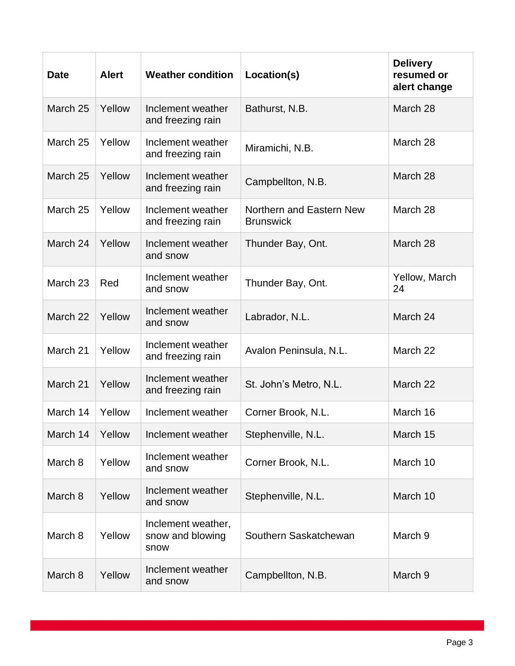| <b>Date</b> | <b>Alert</b> | <b>Weather condition</b>                       | Location(s)                                  | <b>Delivery</b><br>resumed or<br>alert change |
|-------------|--------------|------------------------------------------------|----------------------------------------------|-----------------------------------------------|
| March 25    | Yellow       | Inclement weather<br>and freezing rain         | Bathurst, N.B.                               | March 28                                      |
| March 25    | Yellow       | Inclement weather<br>and freezing rain         | Miramichi, N.B.                              | March 28                                      |
| March 25    | Yellow       | Inclement weather<br>and freezing rain         | Campbellton, N.B.                            | March 28                                      |
| March 25    | Yellow       | Inclement weather<br>and freezing rain         | Northern and Eastern New<br><b>Brunswick</b> | March 28                                      |
| March 24    | Yellow       | Inclement weather<br>and snow                  | Thunder Bay, Ont.                            | March 28                                      |
| March 23    | Red          | Inclement weather<br>and snow                  | Thunder Bay, Ont.                            | Yellow, March<br>24                           |
| March 22    | Yellow       | Inclement weather<br>and snow                  | Labrador, N.L.                               | March 24                                      |
| March 21    | Yellow       | Inclement weather<br>and freezing rain         | Avalon Peninsula, N.L.                       | March 22                                      |
| March 21    | Yellow       | Inclement weather<br>and freezing rain         | St. John's Metro, N.L.                       | March 22                                      |
| March 14    | Yellow       | Inclement weather                              | Corner Brook, N.L.                           | March 16                                      |
| March 14    | Yellow       | Inclement weather                              | Stephenville, N.L.                           | March 15                                      |
| March 8     | Yellow       | Inclement weather<br>and snow                  | Corner Brook, N.L.                           | March 10                                      |
| March 8     | Yellow       | Inclement weather<br>and snow                  | Stephenville, N.L.                           | March 10                                      |
| March 8     | Yellow       | Inclement weather,<br>snow and blowing<br>snow | Southern Saskatchewan                        | March 9                                       |
| March 8     | Yellow       | Inclement weather<br>and snow                  | Campbellton, N.B.                            | March 9                                       |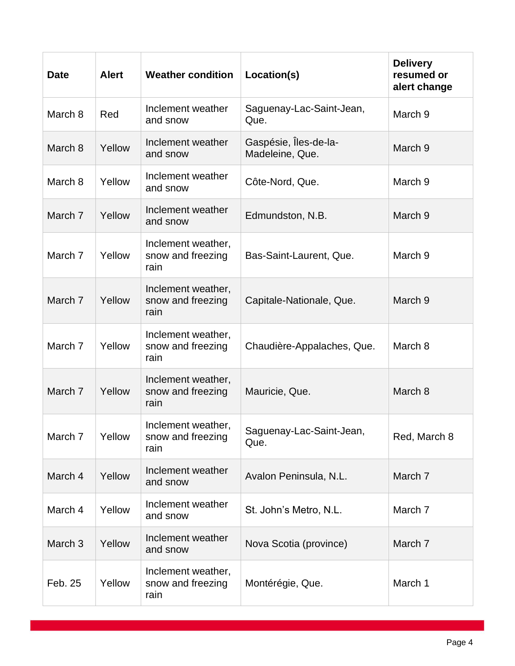| <b>Date</b>        | <b>Alert</b> | <b>Weather condition</b>                        | Location(s)                              | <b>Delivery</b><br>resumed or<br>alert change |
|--------------------|--------------|-------------------------------------------------|------------------------------------------|-----------------------------------------------|
| March 8            | Red          | Inclement weather<br>and snow                   | Saguenay-Lac-Saint-Jean,<br>Que.         | March 9                                       |
| March 8            | Yellow       | Inclement weather<br>and snow                   | Gaspésie, Îles-de-la-<br>Madeleine, Que. | March <sub>9</sub>                            |
| March 8            | Yellow       | Inclement weather<br>and snow                   | Côte-Nord, Que.                          | March 9                                       |
| March 7            | Yellow       | Inclement weather<br>and snow                   | Edmundston, N.B.                         | March 9                                       |
| March 7            | Yellow       | Inclement weather,<br>snow and freezing<br>rain | Bas-Saint-Laurent, Que.                  | March 9                                       |
| March 7            | Yellow       | Inclement weather,<br>snow and freezing<br>rain | Capitale-Nationale, Que.                 | March 9                                       |
| March 7            | Yellow       | Inclement weather,<br>snow and freezing<br>rain | Chaudière-Appalaches, Que.               | March 8                                       |
| March 7            | Yellow       | Inclement weather,<br>snow and freezing<br>rain | Mauricie, Que.                           | March 8                                       |
| March 7            | Yellow       | Inclement weather,<br>snow and freezing<br>rain | Saguenay-Lac-Saint-Jean,<br>Que.         | Red, March 8                                  |
| March 4            | Yellow       | Inclement weather<br>and snow                   | Avalon Peninsula, N.L.                   | March 7                                       |
| March 4            | Yellow       | Inclement weather<br>and snow                   | St. John's Metro, N.L.                   | March 7                                       |
| March <sub>3</sub> | Yellow       | Inclement weather<br>and snow                   | Nova Scotia (province)                   | March 7                                       |
| Feb. 25            | Yellow       | Inclement weather,<br>snow and freezing<br>rain | Montérégie, Que.                         | March 1                                       |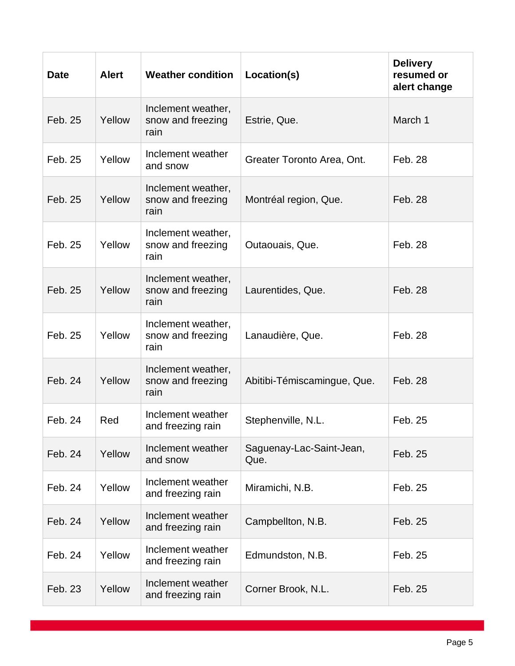| <b>Date</b> | <b>Alert</b> | <b>Weather condition</b>                        | Location(s)                      | <b>Delivery</b><br>resumed or<br>alert change |
|-------------|--------------|-------------------------------------------------|----------------------------------|-----------------------------------------------|
| Feb. 25     | Yellow       | Inclement weather,<br>snow and freezing<br>rain | Estrie, Que.                     | March 1                                       |
| Feb. 25     | Yellow       | Inclement weather<br>and snow                   | Greater Toronto Area, Ont.       | Feb. 28                                       |
| Feb. 25     | Yellow       | Inclement weather,<br>snow and freezing<br>rain | Montréal region, Que.            | Feb. 28                                       |
| Feb. 25     | Yellow       | Inclement weather,<br>snow and freezing<br>rain | Outaouais, Que.                  | Feb. 28                                       |
| Feb. 25     | Yellow       | Inclement weather,<br>snow and freezing<br>rain | Laurentides, Que.                | Feb. 28                                       |
| Feb. 25     | Yellow       | Inclement weather,<br>snow and freezing<br>rain | Lanaudière, Que.                 | Feb. 28                                       |
| Feb. 24     | Yellow       | Inclement weather,<br>snow and freezing<br>rain | Abitibi-Témiscamingue, Que.      | Feb. 28                                       |
| Feb. 24     | Red          | Inclement weather<br>and freezing rain          | Stephenville, N.L.               | Feb. 25                                       |
| Feb. 24     | Yellow       | Inclement weather<br>and snow                   | Saguenay-Lac-Saint-Jean,<br>Que. | Feb. 25                                       |
| Feb. 24     | Yellow       | Inclement weather<br>and freezing rain          | Miramichi, N.B.                  | Feb. 25                                       |
| Feb. 24     | Yellow       | Inclement weather<br>and freezing rain          | Campbellton, N.B.                | Feb. 25                                       |
| Feb. 24     | Yellow       | Inclement weather<br>and freezing rain          | Edmundston, N.B.                 | Feb. 25                                       |
| Feb. 23     | Yellow       | Inclement weather<br>and freezing rain          | Corner Brook, N.L.               | Feb. 25                                       |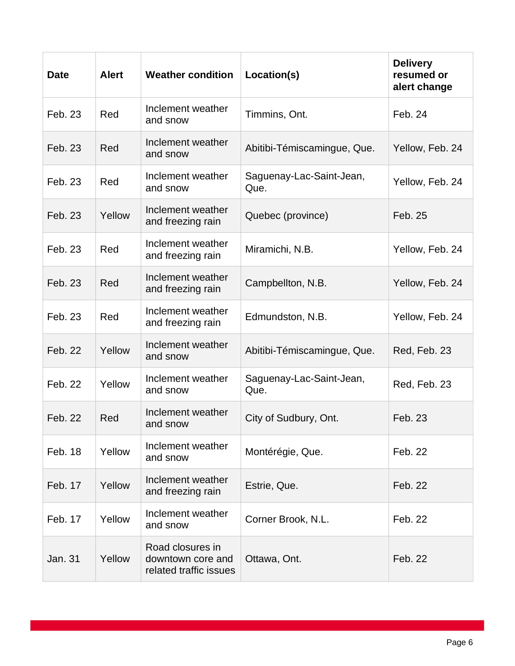| <b>Date</b> | <b>Alert</b> | <b>Weather condition</b>                                        | Location(s)                      | <b>Delivery</b><br>resumed or<br>alert change |
|-------------|--------------|-----------------------------------------------------------------|----------------------------------|-----------------------------------------------|
| Feb. 23     | Red          | Inclement weather<br>and snow                                   | Timmins, Ont.                    | Feb. 24                                       |
| Feb. 23     | Red          | Inclement weather<br>and snow                                   | Abitibi-Témiscamingue, Que.      | Yellow, Feb. 24                               |
| Feb. 23     | Red          | Inclement weather<br>and snow                                   | Saguenay-Lac-Saint-Jean,<br>Que. | Yellow, Feb. 24                               |
| Feb. 23     | Yellow       | Inclement weather<br>and freezing rain                          | Quebec (province)                | Feb. 25                                       |
| Feb. 23     | Red          | Inclement weather<br>and freezing rain                          | Miramichi, N.B.                  | Yellow, Feb. 24                               |
| Feb. 23     | Red          | Inclement weather<br>and freezing rain                          | Campbellton, N.B.                | Yellow, Feb. 24                               |
| Feb. 23     | Red          | Inclement weather<br>and freezing rain                          | Edmundston, N.B.                 | Yellow, Feb. 24                               |
| Feb. 22     | Yellow       | Inclement weather<br>and snow                                   | Abitibi-Témiscamingue, Que.      | Red, Feb. 23                                  |
| Feb. 22     | Yellow       | Inclement weather<br>and snow                                   | Saguenay-Lac-Saint-Jean,<br>Que. | Red, Feb. 23                                  |
| Feb. 22     | Red          | Inclement weather<br>and snow                                   | City of Sudbury, Ont.            | Feb. 23                                       |
| Feb. 18     | Yellow       | Inclement weather<br>and snow                                   | Montérégie, Que.                 | Feb. 22                                       |
| Feb. 17     | Yellow       | Inclement weather<br>and freezing rain                          | Estrie, Que.                     | Feb. 22                                       |
| Feb. 17     | Yellow       | Inclement weather<br>and snow                                   | Corner Brook, N.L.               | Feb. 22                                       |
| Jan. 31     | Yellow       | Road closures in<br>downtown core and<br>related traffic issues | Ottawa, Ont.                     | Feb. 22                                       |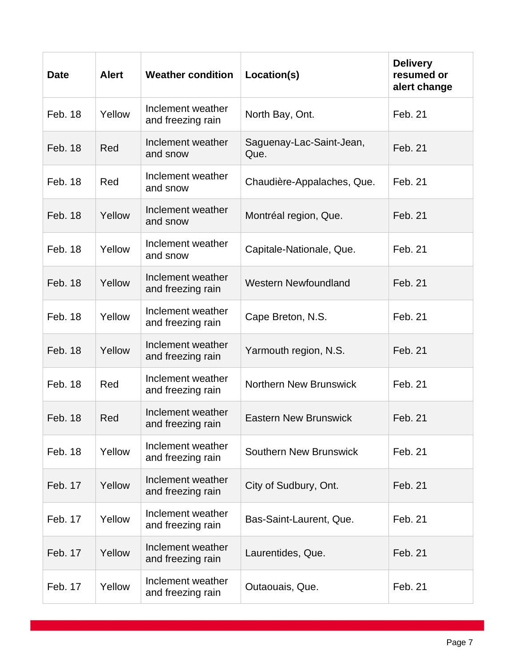| <b>Date</b>    | <b>Alert</b> | <b>Weather condition</b>               | Location(s)                      | <b>Delivery</b><br>resumed or<br>alert change |
|----------------|--------------|----------------------------------------|----------------------------------|-----------------------------------------------|
| Feb. 18        | Yellow       | Inclement weather<br>and freezing rain | North Bay, Ont.                  | Feb. 21                                       |
| Feb. 18        | Red          | Inclement weather<br>and snow          | Saguenay-Lac-Saint-Jean,<br>Que. | Feb. 21                                       |
| Feb. 18        | Red          | Inclement weather<br>and snow          | Chaudière-Appalaches, Que.       | Feb. 21                                       |
| Feb. 18        | Yellow       | Inclement weather<br>and snow          | Montréal region, Que.            | Feb. 21                                       |
| Feb. 18        | Yellow       | Inclement weather<br>and snow          | Capitale-Nationale, Que.         | Feb. 21                                       |
| <b>Feb. 18</b> | Yellow       | Inclement weather<br>and freezing rain | <b>Western Newfoundland</b>      | Feb. 21                                       |
| Feb. 18        | Yellow       | Inclement weather<br>and freezing rain | Cape Breton, N.S.                | Feb. 21                                       |
| <b>Feb. 18</b> | Yellow       | Inclement weather<br>and freezing rain | Yarmouth region, N.S.            | Feb. 21                                       |
| Feb. 18        | Red          | Inclement weather<br>and freezing rain | <b>Northern New Brunswick</b>    | Feb. 21                                       |
| Feb. 18        | Red          | Inclement weather<br>and freezing rain | <b>Eastern New Brunswick</b>     | Feb. 21                                       |
| Feb. 18        | Yellow       | Inclement weather<br>and freezing rain | <b>Southern New Brunswick</b>    | Feb. 21                                       |
| Feb. 17        | Yellow       | Inclement weather<br>and freezing rain | City of Sudbury, Ont.            | Feb. 21                                       |
| Feb. 17        | Yellow       | Inclement weather<br>and freezing rain | Bas-Saint-Laurent, Que.          | Feb. 21                                       |
| Feb. 17        | Yellow       | Inclement weather<br>and freezing rain | Laurentides, Que.                | Feb. 21                                       |
| Feb. 17        | Yellow       | Inclement weather<br>and freezing rain | Outaouais, Que.                  | Feb. 21                                       |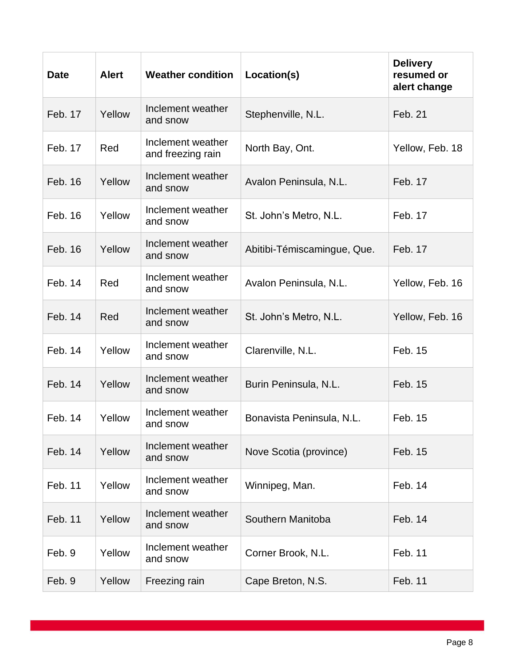| <b>Date</b> | <b>Alert</b> | <b>Weather condition</b>               | Location(s)                 | <b>Delivery</b><br>resumed or<br>alert change |
|-------------|--------------|----------------------------------------|-----------------------------|-----------------------------------------------|
| Feb. 17     | Yellow       | Inclement weather<br>and snow          | Stephenville, N.L.          | Feb. 21                                       |
| Feb. 17     | Red          | Inclement weather<br>and freezing rain | North Bay, Ont.             | Yellow, Feb. 18                               |
| Feb. 16     | Yellow       | Inclement weather<br>and snow          | Avalon Peninsula, N.L.      | Feb. 17                                       |
| Feb. 16     | Yellow       | Inclement weather<br>and snow          | St. John's Metro, N.L.      | Feb. 17                                       |
| Feb. 16     | Yellow       | Inclement weather<br>and snow          | Abitibi-Témiscamingue, Que. | Feb. 17                                       |
| Feb. 14     | Red          | Inclement weather<br>and snow          | Avalon Peninsula, N.L.      | Yellow, Feb. 16                               |
| Feb. 14     | Red          | Inclement weather<br>and snow          | St. John's Metro, N.L.      | Yellow, Feb. 16                               |
| Feb. 14     | Yellow       | Inclement weather<br>and snow          | Clarenville, N.L.           | Feb. 15                                       |
| Feb. 14     | Yellow       | Inclement weather<br>and snow          | Burin Peninsula, N.L.       | Feb. 15                                       |
| Feb. 14     | Yellow       | Inclement weather<br>and snow          | Bonavista Peninsula, N.L.   | Feb. 15                                       |
| Feb. 14     | Yellow       | Inclement weather<br>and snow          | Nove Scotia (province)      | Feb. 15                                       |
| Feb. 11     | Yellow       | Inclement weather<br>and snow          | Winnipeg, Man.              | Feb. 14                                       |
| Feb. 11     | Yellow       | Inclement weather<br>and snow          | Southern Manitoba           | Feb. 14                                       |
| Feb. 9      | Yellow       | Inclement weather<br>and snow          | Corner Brook, N.L.          | Feb. 11                                       |
| Feb. 9      | Yellow       | Freezing rain                          | Cape Breton, N.S.           | Feb. 11                                       |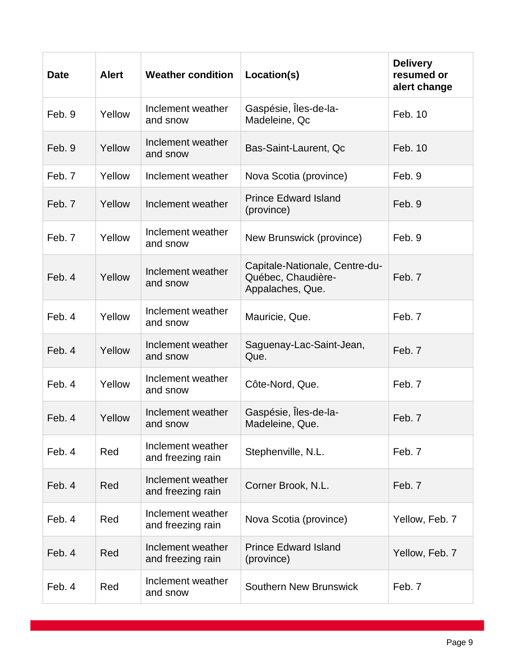| <b>Date</b> | <b>Alert</b> | <b>Weather condition</b>               | Location(s)                                                              | <b>Delivery</b><br>resumed or<br>alert change |
|-------------|--------------|----------------------------------------|--------------------------------------------------------------------------|-----------------------------------------------|
| Feb. 9      | Yellow       | Inclement weather<br>and snow          | Gaspésie, Îles-de-la-<br>Madeleine, Qc                                   | Feb. 10                                       |
| Feb. 9      | Yellow       | Inclement weather<br>and snow          | Bas-Saint-Laurent, Qc                                                    | Feb. 10                                       |
| Feb. 7      | Yellow       | Inclement weather                      | Nova Scotia (province)                                                   | Feb. 9                                        |
| Feb. 7      | Yellow       | Inclement weather                      | <b>Prince Edward Island</b><br>(province)                                | Feb. 9                                        |
| Feb. 7      | Yellow       | Inclement weather<br>and snow          | New Brunswick (province)                                                 | Feb. 9                                        |
| Feb. 4      | Yellow       | Inclement weather<br>and snow          | Capitale-Nationale, Centre-du-<br>Québec, Chaudière-<br>Appalaches, Que. | Feb. 7                                        |
| Feb. 4      | Yellow       | Inclement weather<br>and snow          | Mauricie, Que.                                                           | Feb. 7                                        |
| Feb. 4      | Yellow       | Inclement weather<br>and snow          | Saguenay-Lac-Saint-Jean,<br>Que.                                         | Feb. 7                                        |
| Feb. 4      | Yellow       | Inclement weather<br>and snow          | Côte-Nord, Que.                                                          | Feb. 7                                        |
| Feb. 4      | Yellow       | Inclement weather<br>and snow          | Gaspésie, Îles-de-la-<br>Madeleine, Que.                                 | Feb. 7                                        |
| Feb. 4      | Red          | Inclement weather<br>and freezing rain | Stephenville, N.L.                                                       | Feb. 7                                        |
| Feb. 4      | Red          | Inclement weather<br>and freezing rain | Corner Brook, N.L.                                                       | Feb. 7                                        |
| Feb. 4      | Red          | Inclement weather<br>and freezing rain | Nova Scotia (province)                                                   | Yellow, Feb. 7                                |
| Feb. 4      | Red          | Inclement weather<br>and freezing rain | <b>Prince Edward Island</b><br>(province)                                | Yellow, Feb. 7                                |
| Feb. 4      | Red          | Inclement weather<br>and snow          | <b>Southern New Brunswick</b>                                            | Feb. 7                                        |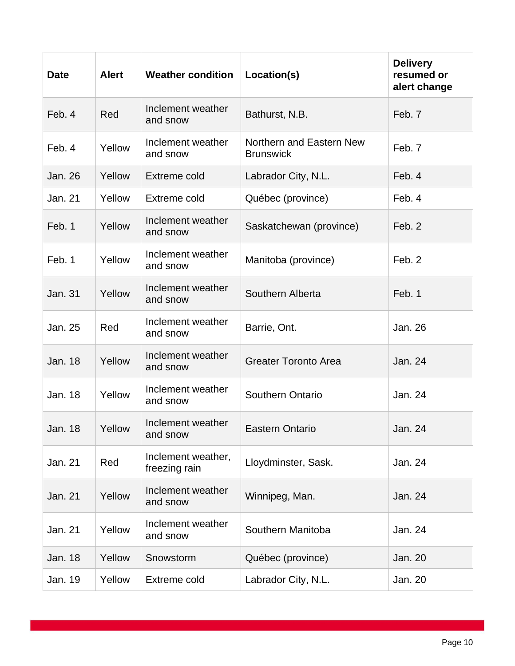| <b>Date</b>    | <b>Alert</b> | <b>Weather condition</b>            | Location(s)                                  | <b>Delivery</b><br>resumed or<br>alert change |
|----------------|--------------|-------------------------------------|----------------------------------------------|-----------------------------------------------|
| Feb. 4         | Red          | Inclement weather<br>and snow       | Bathurst, N.B.                               | Feb. 7                                        |
| Feb. 4         | Yellow       | Inclement weather<br>and snow       | Northern and Eastern New<br><b>Brunswick</b> | Feb. 7                                        |
| Jan. 26        | Yellow       | <b>Extreme cold</b>                 | Labrador City, N.L.                          | Feb. 4                                        |
| Jan. 21        | Yellow       | Extreme cold                        | Québec (province)                            | Feb. 4                                        |
| Feb. 1         | Yellow       | Inclement weather<br>and snow       | Saskatchewan (province)                      | Feb. 2                                        |
| Feb. 1         | Yellow       | Inclement weather<br>and snow       | Manitoba (province)                          | Feb. 2                                        |
| Jan. 31        | Yellow       | Inclement weather<br>and snow       | Southern Alberta                             | Feb. 1                                        |
| Jan. 25        | Red          | Inclement weather<br>and snow       | Barrie, Ont.                                 | Jan. 26                                       |
| <b>Jan. 18</b> | Yellow       | Inclement weather<br>and snow       | <b>Greater Toronto Area</b>                  | Jan. 24                                       |
| Jan. 18        | Yellow       | Inclement weather<br>and snow       | <b>Southern Ontario</b>                      | Jan. 24                                       |
| Jan. 18        | Yellow       | Inclement weather<br>and snow       | <b>Eastern Ontario</b>                       | Jan. 24                                       |
| Jan. 21        | Red          | Inclement weather,<br>freezing rain | Lloydminster, Sask.                          | Jan. 24                                       |
| Jan. 21        | Yellow       | Inclement weather<br>and snow       | Winnipeg, Man.                               | Jan. 24                                       |
| Jan. 21        | Yellow       | Inclement weather<br>and snow       | Southern Manitoba                            | Jan. 24                                       |
| Jan. 18        | Yellow       | Snowstorm                           | Québec (province)                            | Jan. 20                                       |
| Jan. 19        | Yellow       | Extreme cold                        | Labrador City, N.L.                          | Jan. 20                                       |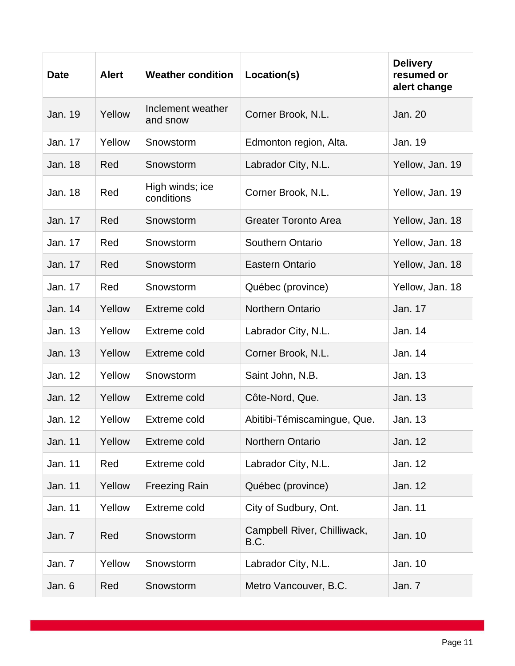| <b>Date</b>    | <b>Alert</b> | <b>Weather condition</b>      | Location(s)                         | <b>Delivery</b><br>resumed or<br>alert change |
|----------------|--------------|-------------------------------|-------------------------------------|-----------------------------------------------|
| Jan. 19        | Yellow       | Inclement weather<br>and snow | Corner Brook, N.L.                  | <b>Jan. 20</b>                                |
| Jan. 17        | Yellow       | Snowstorm                     | Edmonton region, Alta.              | Jan. 19                                       |
| <b>Jan. 18</b> | Red          | Snowstorm                     | Labrador City, N.L.                 | Yellow, Jan. 19                               |
| Jan. 18        | Red          | High winds; ice<br>conditions | Corner Brook, N.L.                  | Yellow, Jan. 19                               |
| Jan. 17        | Red          | Snowstorm                     | <b>Greater Toronto Area</b>         | Yellow, Jan. 18                               |
| Jan. 17        | Red          | Snowstorm                     | Southern Ontario                    | Yellow, Jan. 18                               |
| Jan. 17        | Red          | Snowstorm                     | <b>Eastern Ontario</b>              | Yellow, Jan. 18                               |
| Jan. 17        | Red          | Snowstorm                     | Québec (province)                   | Yellow, Jan. 18                               |
| Jan. 14        | Yellow       | <b>Extreme cold</b>           | <b>Northern Ontario</b>             | Jan. 17                                       |
| Jan. 13        | Yellow       | <b>Extreme cold</b>           | Labrador City, N.L.                 | Jan. 14                                       |
| <b>Jan. 13</b> | Yellow       | <b>Extreme cold</b>           | Corner Brook, N.L.                  | Jan. 14                                       |
| Jan. 12        | Yellow       | Snowstorm                     | Saint John, N.B.                    | Jan. 13                                       |
| Jan. 12        | Yellow       | <b>Extreme cold</b>           | Côte-Nord, Que.                     | Jan. 13                                       |
| Jan. 12        | Yellow       | Extreme cold                  | Abitibi-Témiscamingue, Que.         | Jan. 13                                       |
| Jan. 11        | Yellow       | Extreme cold                  | <b>Northern Ontario</b>             | Jan. 12                                       |
| Jan. 11        | Red          | Extreme cold                  | Labrador City, N.L.                 | Jan. 12                                       |
| Jan. 11        | Yellow       | <b>Freezing Rain</b>          | Québec (province)                   | Jan. 12                                       |
| Jan. 11        | Yellow       | Extreme cold                  | City of Sudbury, Ont.               | Jan. 11                                       |
| Jan. 7         | Red          | Snowstorm                     | Campbell River, Chilliwack,<br>B.C. | Jan. 10                                       |
| Jan. 7         | Yellow       | Snowstorm                     | Labrador City, N.L.                 | Jan. 10                                       |
| Jan. 6         | Red          | Snowstorm                     | Metro Vancouver, B.C.               | Jan. 7                                        |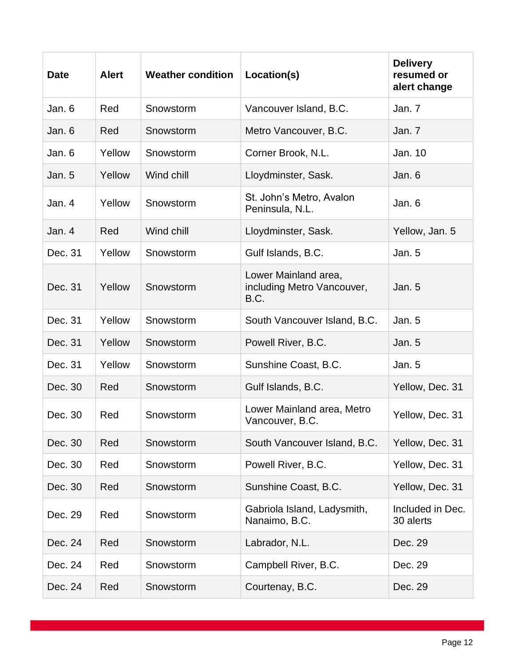| <b>Date</b> | <b>Alert</b> | <b>Weather condition</b> | Location(s)                                                | <b>Delivery</b><br>resumed or<br>alert change |
|-------------|--------------|--------------------------|------------------------------------------------------------|-----------------------------------------------|
| Jan. 6      | Red          | Snowstorm                | Vancouver Island, B.C.                                     | Jan. 7                                        |
| Jan. 6      | Red          | Snowstorm                | Metro Vancouver, B.C.                                      | Jan. 7                                        |
| Jan. 6      | Yellow       | Snowstorm                | Corner Brook, N.L.                                         | Jan. 10                                       |
| Jan. 5      | Yellow       | Wind chill               | Lloydminster, Sask.                                        | Jan. 6                                        |
| Jan. 4      | Yellow       | Snowstorm                | St. John's Metro, Avalon<br>Peninsula, N.L.                | Jan. 6                                        |
| Jan. 4      | Red          | Wind chill               | Lloydminster, Sask.                                        | Yellow, Jan. 5                                |
| Dec. 31     | Yellow       | Snowstorm                | Gulf Islands, B.C.                                         | Jan. 5                                        |
| Dec. 31     | Yellow       | Snowstorm                | Lower Mainland area,<br>including Metro Vancouver,<br>B.C. | Jan.5                                         |
| Dec. 31     | Yellow       | Snowstorm                | South Vancouver Island, B.C.                               | Jan. 5                                        |
| Dec. 31     | Yellow       | Snowstorm                | Powell River, B.C.                                         | Jan. 5                                        |
| Dec. 31     | Yellow       | Snowstorm                | Sunshine Coast, B.C.                                       | Jan. 5                                        |
| Dec. 30     | Red          | Snowstorm                | Gulf Islands, B.C.                                         | Yellow, Dec. 31                               |
| Dec. 30     | Red          | Snowstorm                | Lower Mainland area, Metro<br>Vancouver, B.C.              | Yellow, Dec. 31                               |
| Dec. 30     | Red          | Snowstorm                | South Vancouver Island, B.C.                               | Yellow, Dec. 31                               |
| Dec. 30     | Red          | Snowstorm                | Powell River, B.C.                                         | Yellow, Dec. 31                               |
| Dec. 30     | Red          | Snowstorm                | Sunshine Coast, B.C.                                       | Yellow, Dec. 31                               |
| Dec. 29     | Red          | Snowstorm                | Gabriola Island, Ladysmith,<br>Nanaimo, B.C.               | Included in Dec.<br>30 alerts                 |
| Dec. 24     | Red          | Snowstorm                | Labrador, N.L.                                             | Dec. 29                                       |
| Dec. 24     | Red          | Snowstorm                | Campbell River, B.C.                                       | Dec. 29                                       |
| Dec. 24     | Red          | Snowstorm                | Courtenay, B.C.                                            | Dec. 29                                       |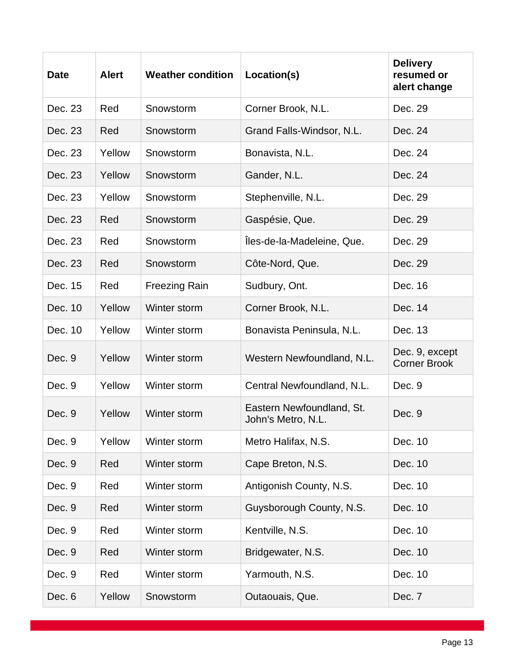| <b>Date</b> | <b>Alert</b> | <b>Weather condition</b> | Location(s)                                     | <b>Delivery</b><br>resumed or<br>alert change |
|-------------|--------------|--------------------------|-------------------------------------------------|-----------------------------------------------|
| Dec. 23     | Red          | Snowstorm                | Corner Brook, N.L.                              | Dec. 29                                       |
| Dec. 23     | Red          | Snowstorm                | Grand Falls-Windsor, N.L.                       | Dec. 24                                       |
| Dec. 23     | Yellow       | Snowstorm                | Bonavista, N.L.                                 | Dec. 24                                       |
| Dec. 23     | Yellow       | Snowstorm                | Gander, N.L.                                    | Dec. 24                                       |
| Dec. 23     | Yellow       | Snowstorm                | Stephenville, N.L.                              | Dec. 29                                       |
| Dec. 23     | Red          | Snowstorm                | Gaspésie, Que.                                  | Dec. 29                                       |
| Dec. 23     | Red          | Snowstorm                | Îles-de-la-Madeleine, Que.                      | Dec. 29                                       |
| Dec. 23     | Red          | Snowstorm                | Côte-Nord, Que.                                 | Dec. 29                                       |
| Dec. 15     | Red          | <b>Freezing Rain</b>     | Sudbury, Ont.                                   | Dec. 16                                       |
| Dec. 10     | Yellow       | Winter storm             | Corner Brook, N.L.                              | Dec. 14                                       |
| Dec. 10     | Yellow       | Winter storm             | Bonavista Peninsula, N.L.                       | Dec. 13                                       |
| Dec. 9      | Yellow       | Winter storm             | Western Newfoundland, N.L.                      | Dec. 9, except<br><b>Corner Brook</b>         |
| Dec. 9      | Yellow       | Winter storm             | Central Newfoundland, N.L.                      | Dec. 9                                        |
| Dec. 9      | Yellow       | Winter storm             | Eastern Newfoundland, St.<br>John's Metro, N.L. | Dec. 9                                        |
| Dec. 9      | Yellow       | Winter storm             | Metro Halifax, N.S.                             | Dec. 10                                       |
| Dec. 9      | Red          | Winter storm             | Cape Breton, N.S.                               | Dec. 10                                       |
| Dec. 9      | Red          | Winter storm             | Antigonish County, N.S.                         | Dec. 10                                       |
| Dec. 9      | Red          | Winter storm             | Guysborough County, N.S.                        | Dec. 10                                       |
| Dec. 9      | Red          | Winter storm             | Kentville, N.S.                                 | Dec. 10                                       |
| Dec. 9      | Red          | Winter storm             | Bridgewater, N.S.                               | Dec. 10                                       |
| Dec. 9      | Red          | Winter storm             | Yarmouth, N.S.                                  | Dec. 10                                       |
| Dec. 6      | Yellow       | Snowstorm                | Outaouais, Que.                                 | Dec. 7                                        |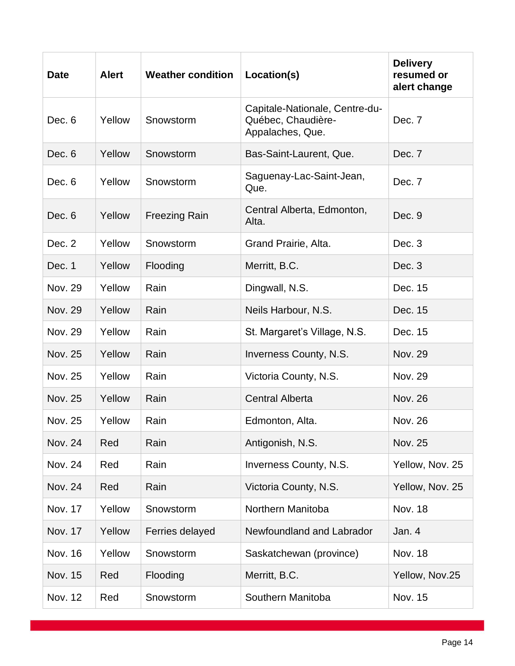| <b>Date</b>    | <b>Alert</b> | <b>Weather condition</b> | Location(s)                                                              | <b>Delivery</b><br>resumed or<br>alert change |
|----------------|--------------|--------------------------|--------------------------------------------------------------------------|-----------------------------------------------|
| Dec. 6         | Yellow       | Snowstorm                | Capitale-Nationale, Centre-du-<br>Québec, Chaudière-<br>Appalaches, Que. | Dec. 7                                        |
| Dec. 6         | Yellow       | Snowstorm                | Bas-Saint-Laurent, Que.                                                  | Dec. 7                                        |
| Dec. 6         | Yellow       | Snowstorm                | Saguenay-Lac-Saint-Jean,<br>Que.                                         | Dec. 7                                        |
| Dec. 6         | Yellow       | <b>Freezing Rain</b>     | Central Alberta, Edmonton,<br>Alta.                                      | Dec. 9                                        |
| Dec. 2         | Yellow       | Snowstorm                | Grand Prairie, Alta.                                                     | Dec. 3                                        |
| Dec. 1         | Yellow       | Flooding                 | Merritt, B.C.                                                            | Dec. 3                                        |
| Nov. 29        | Yellow       | Rain                     | Dingwall, N.S.                                                           | Dec. 15                                       |
| Nov. 29        | Yellow       | Rain                     | Neils Harbour, N.S.                                                      | Dec. 15                                       |
| <b>Nov. 29</b> | Yellow       | Rain                     | St. Margaret's Village, N.S.                                             | Dec. 15                                       |
| <b>Nov. 25</b> | Yellow       | Rain                     | Inverness County, N.S.                                                   | <b>Nov. 29</b>                                |
| <b>Nov. 25</b> | Yellow       | Rain                     | Victoria County, N.S.                                                    | <b>Nov. 29</b>                                |
| <b>Nov. 25</b> | Yellow       | Rain                     | <b>Central Alberta</b>                                                   | <b>Nov. 26</b>                                |
| Nov. 25        | Yellow       | Rain                     | Edmonton, Alta.                                                          | <b>Nov. 26</b>                                |
| <b>Nov. 24</b> | Red          | Rain                     | Antigonish, N.S.                                                         | Nov. 25                                       |
| <b>Nov. 24</b> | Red          | Rain                     | <b>Inverness County, N.S.</b>                                            | Yellow, Nov. 25                               |
| Nov. 24        | Red          | Rain                     | Victoria County, N.S.                                                    | Yellow, Nov. 25                               |
| Nov. 17        | Yellow       | Snowstorm                | Northern Manitoba                                                        | <b>Nov. 18</b>                                |
| <b>Nov. 17</b> | Yellow       | Ferries delayed          | Newfoundland and Labrador                                                | Jan. 4                                        |
| <b>Nov. 16</b> | Yellow       | Snowstorm                | Saskatchewan (province)                                                  | <b>Nov. 18</b>                                |
| Nov. 15        | Red          | Flooding                 | Merritt, B.C.                                                            | Yellow, Nov.25                                |
| Nov. 12        | Red          | Snowstorm                | Southern Manitoba                                                        | Nov. 15                                       |